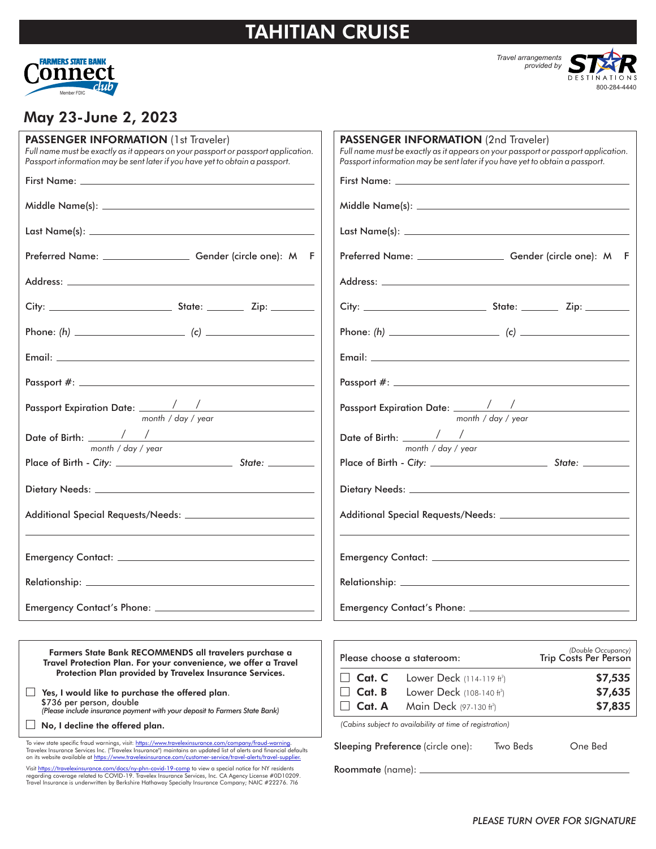# TAHITIAN CRUISE



*Travel arrangements provided by*

800-284-4440

### May 23-June 2, 2023

| PASSENGER INFORMATION (1st Traveler)<br>Full name must be exactly as it appears on your passport or passport application.<br>Passport information may be sent later if you have yet to obtain a passport. | <b>PASSENGER INFORMATION (2nd Traveler)</b><br>Full name must be exactly as it appears on your passport or passport application.<br>Passport information may be sent later if you have yet to obtain a passport. |
|-----------------------------------------------------------------------------------------------------------------------------------------------------------------------------------------------------------|------------------------------------------------------------------------------------------------------------------------------------------------------------------------------------------------------------------|
| Preferred Name: Cender (circle one): M F                                                                                                                                                                  | Preferred Name: _________________________ Gender (circle one): M F                                                                                                                                               |
|                                                                                                                                                                                                           |                                                                                                                                                                                                                  |
|                                                                                                                                                                                                           |                                                                                                                                                                                                                  |
|                                                                                                                                                                                                           |                                                                                                                                                                                                                  |
|                                                                                                                                                                                                           | Email: <u>Alexander Adam and Alexander Adam and Alexander Adam and Alexander Adam and Alexander Adam and Alexander</u>                                                                                           |
|                                                                                                                                                                                                           |                                                                                                                                                                                                                  |
| month / day / year                                                                                                                                                                                        | month / day / year                                                                                                                                                                                               |
| month / day / year                                                                                                                                                                                        | month / day / year                                                                                                                                                                                               |
|                                                                                                                                                                                                           |                                                                                                                                                                                                                  |
|                                                                                                                                                                                                           |                                                                                                                                                                                                                  |
|                                                                                                                                                                                                           |                                                                                                                                                                                                                  |
|                                                                                                                                                                                                           |                                                                                                                                                                                                                  |
|                                                                                                                                                                                                           |                                                                                                                                                                                                                  |
|                                                                                                                                                                                                           |                                                                                                                                                                                                                  |
| Farmers State Bank RECOMMENDS all travelers purchase a<br>Travel Protection Plan. For your convenience, we offer a Travel                                                                                 | (Double Occupancy)<br>Please choose a stateroom:<br><b>Trip Costs Per Person</b>                                                                                                                                 |

 $\Box$  Yes, I would like to purchase the offered plan. *(Please include insurance payment with your deposit to Farmers State Bank)* \$736 per person, double

 $\Box$  No, I decline the offered plan.

To view state specific fraud warnings, visit: <u>https://www.travelexinsurance.com/company/fraud-warning</u>.<br>Travelex Insurance Services Inc. ("Travelex Insurance") maintains an updated list of alerts and financial defaults<br>on

Protection Plan provided by Travelex Insurance Services.

Visit <u>https://travelexinsurance.com/docs/ny-phn-covid-19-comp</u> to view a special notice for NY residents<br>regarding coverage related to COVID-19. Travelex Insurance Services, Inc. CA Agency License #0D10209.<br>Travel Insuran

|                                                     | $\Box$ Cat. C Lower Deck (114-119 ft <sup>2</sup> )      |          | \$7,535 |
|-----------------------------------------------------|----------------------------------------------------------|----------|---------|
| $\Box$ Cat. B Lower Deck (108-140 ft <sup>2</sup> ) |                                                          | \$7,635  |         |
|                                                     | $\Box$ Cat. A Main Deck (97-130 ft <sup>2</sup> )        |          | \$7,835 |
|                                                     | (Cabins subject to availability at time of registration) |          |         |
|                                                     | Sleeping Preference (circle one):                        | Two Beds | One Bed |

Roommate (name):